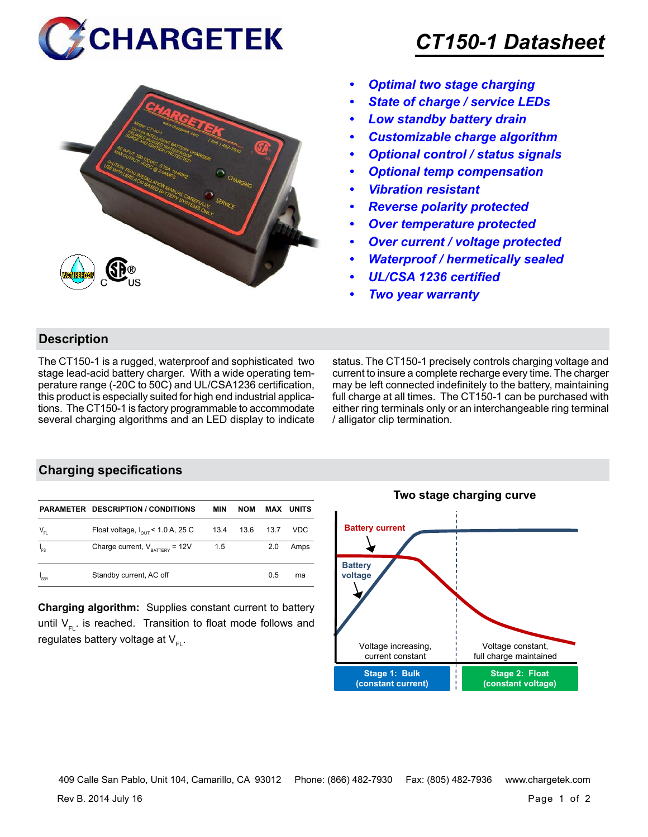



# *CT150-1 Datasheet*

- *• Optimal two stage charging*
- *• State of charge / service LEDs*
- *• Low standby battery drain*
- *• Customizable charge algorithm*
- *• Optional control / status signals*
- *• Optional temp compensation*
- *• Vibration resistant*
- *• Reverse polarity protected*
- *• Over temperature protected*
- *• Over current / voltage protected*
- *• Waterproof / hermetically sealed*
- *• UL/CSA 1236 certified*
- *• Two year warranty*

### **Description**

The CT150-1 is a rugged, waterproof and sophisticated two stage lead-acid battery charger. With a wide operating temperature range (-20C to 50C) and UL/CSA1236 certification, this product is especially suited for high end industrial applications. The CT150-1 is factory programmable to accommodate several charging algorithms and an LED display to indicate status. The CT150-1 precisely controls charging voltage and current to insure a complete recharge every time. The charger may be left connected indefinitely to the battery, maintaining full charge at all times. The CT150-1 can be purchased with either ring terminals only or an interchangeable ring terminal / alligator clip termination.

### **Charging specifications**

|                  | <b>PARAMETER DESCRIPTION / CONDITIONS</b>     | MIN  | <b>NOM</b> |      | <b>MAX UNITS</b> |
|------------------|-----------------------------------------------|------|------------|------|------------------|
| $V_{FL}$         | Float voltage, $I_{\text{out}}$ < 1.0 A, 25 C | 13.4 | 13.6       | 13.7 | VDC              |
| $I_{FS}$         | Charge current, $V_{\text{raffley}} = 12V$    | 1.5  |            | 2.0  | Amps             |
| <sup>1</sup> SBY | Standby current, AC off                       |      |            | 0.5  | ma               |

**Charging algorithm:** Supplies constant current to battery until  $V_{F1}$ . is reached. Transition to float mode follows and regulates battery voltage at  $V_{F1}$ .



409 Calle San Pablo, Unit 104, Camarillo, CA 93012 Phone: (866) 482-7930 Fax: (805) 482-7936 www.chargetek.com